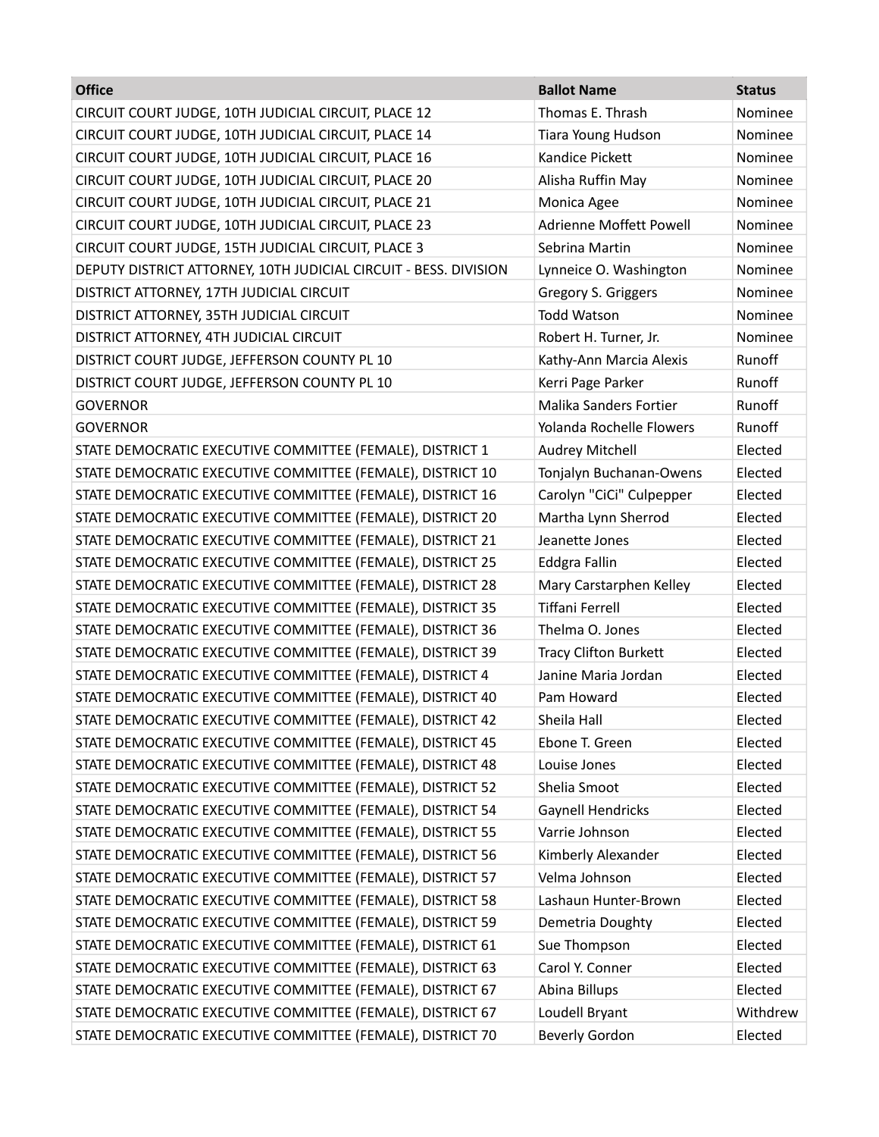| <b>Office</b>                                                    | <b>Ballot Name</b>            | <b>Status</b> |
|------------------------------------------------------------------|-------------------------------|---------------|
| CIRCUIT COURT JUDGE, 10TH JUDICIAL CIRCUIT, PLACE 12             | Thomas E. Thrash              | Nominee       |
| CIRCUIT COURT JUDGE, 10TH JUDICIAL CIRCUIT, PLACE 14             | Tiara Young Hudson            | Nominee       |
| CIRCUIT COURT JUDGE, 10TH JUDICIAL CIRCUIT, PLACE 16             | Kandice Pickett               | Nominee       |
| CIRCUIT COURT JUDGE, 10TH JUDICIAL CIRCUIT, PLACE 20             | Alisha Ruffin May             | Nominee       |
| CIRCUIT COURT JUDGE, 10TH JUDICIAL CIRCUIT, PLACE 21             | Monica Agee                   | Nominee       |
| CIRCUIT COURT JUDGE, 10TH JUDICIAL CIRCUIT, PLACE 23             | Adrienne Moffett Powell       | Nominee       |
| CIRCUIT COURT JUDGE, 15TH JUDICIAL CIRCUIT, PLACE 3              | Sebrina Martin                | Nominee       |
| DEPUTY DISTRICT ATTORNEY, 10TH JUDICIAL CIRCUIT - BESS. DIVISION | Lynneice O. Washington        | Nominee       |
| DISTRICT ATTORNEY, 17TH JUDICIAL CIRCUIT                         | Gregory S. Griggers           | Nominee       |
| DISTRICT ATTORNEY, 35TH JUDICIAL CIRCUIT                         | <b>Todd Watson</b>            | Nominee       |
| DISTRICT ATTORNEY, 4TH JUDICIAL CIRCUIT                          | Robert H. Turner, Jr.         | Nominee       |
| DISTRICT COURT JUDGE, JEFFERSON COUNTY PL 10                     | Kathy-Ann Marcia Alexis       | Runoff        |
| DISTRICT COURT JUDGE, JEFFERSON COUNTY PL 10                     | Kerri Page Parker             | Runoff        |
| <b>GOVERNOR</b>                                                  | <b>Malika Sanders Fortier</b> | Runoff        |
| <b>GOVERNOR</b>                                                  | Yolanda Rochelle Flowers      | Runoff        |
| STATE DEMOCRATIC EXECUTIVE COMMITTEE (FEMALE), DISTRICT 1        | Audrey Mitchell               | Elected       |
| STATE DEMOCRATIC EXECUTIVE COMMITTEE (FEMALE), DISTRICT 10       | Tonjalyn Buchanan-Owens       | Elected       |
| STATE DEMOCRATIC EXECUTIVE COMMITTEE (FEMALE), DISTRICT 16       | Carolyn "CiCi" Culpepper      | Elected       |
| STATE DEMOCRATIC EXECUTIVE COMMITTEE (FEMALE), DISTRICT 20       | Martha Lynn Sherrod           | Elected       |
| STATE DEMOCRATIC EXECUTIVE COMMITTEE (FEMALE), DISTRICT 21       | Jeanette Jones                | Elected       |
| STATE DEMOCRATIC EXECUTIVE COMMITTEE (FEMALE), DISTRICT 25       | Eddgra Fallin                 | Elected       |
| STATE DEMOCRATIC EXECUTIVE COMMITTEE (FEMALE), DISTRICT 28       | Mary Carstarphen Kelley       | Elected       |
| STATE DEMOCRATIC EXECUTIVE COMMITTEE (FEMALE), DISTRICT 35       | <b>Tiffani Ferrell</b>        | Elected       |
| STATE DEMOCRATIC EXECUTIVE COMMITTEE (FEMALE), DISTRICT 36       | Thelma O. Jones               | Elected       |
| STATE DEMOCRATIC EXECUTIVE COMMITTEE (FEMALE), DISTRICT 39       | <b>Tracy Clifton Burkett</b>  | Elected       |
| STATE DEMOCRATIC EXECUTIVE COMMITTEE (FEMALE), DISTRICT 4        | Janine Maria Jordan           | Elected       |
| STATE DEMOCRATIC EXECUTIVE COMMITTEE (FEMALE), DISTRICT 40       | Pam Howard                    | Elected       |
| STATE DEMOCRATIC EXECUTIVE COMMITTEE (FEMALE), DISTRICT 42       | Sheila Hall                   | Elected       |
| STATE DEMOCRATIC EXECUTIVE COMMITTEE (FEMALE), DISTRICT 45       | Ebone T. Green                | Elected       |
| STATE DEMOCRATIC EXECUTIVE COMMITTEE (FEMALE), DISTRICT 48       | Louise Jones                  | Elected       |
| STATE DEMOCRATIC EXECUTIVE COMMITTEE (FEMALE), DISTRICT 52       | Shelia Smoot                  | Elected       |
| STATE DEMOCRATIC EXECUTIVE COMMITTEE (FEMALE), DISTRICT 54       | Gaynell Hendricks             | Elected       |
| STATE DEMOCRATIC EXECUTIVE COMMITTEE (FEMALE), DISTRICT 55       | Varrie Johnson                | Elected       |
| STATE DEMOCRATIC EXECUTIVE COMMITTEE (FEMALE), DISTRICT 56       | Kimberly Alexander            | Elected       |
| STATE DEMOCRATIC EXECUTIVE COMMITTEE (FEMALE), DISTRICT 57       | Velma Johnson                 | Elected       |
| STATE DEMOCRATIC EXECUTIVE COMMITTEE (FEMALE), DISTRICT 58       | Lashaun Hunter-Brown          | Elected       |
| STATE DEMOCRATIC EXECUTIVE COMMITTEE (FEMALE), DISTRICT 59       | Demetria Doughty              | Elected       |
| STATE DEMOCRATIC EXECUTIVE COMMITTEE (FEMALE), DISTRICT 61       | Sue Thompson                  | Elected       |
| STATE DEMOCRATIC EXECUTIVE COMMITTEE (FEMALE), DISTRICT 63       | Carol Y. Conner               | Elected       |
| STATE DEMOCRATIC EXECUTIVE COMMITTEE (FEMALE), DISTRICT 67       | Abina Billups                 | Elected       |
| STATE DEMOCRATIC EXECUTIVE COMMITTEE (FEMALE), DISTRICT 67       | Loudell Bryant                | Withdrew      |
| STATE DEMOCRATIC EXECUTIVE COMMITTEE (FEMALE), DISTRICT 70       | <b>Beverly Gordon</b>         | Elected       |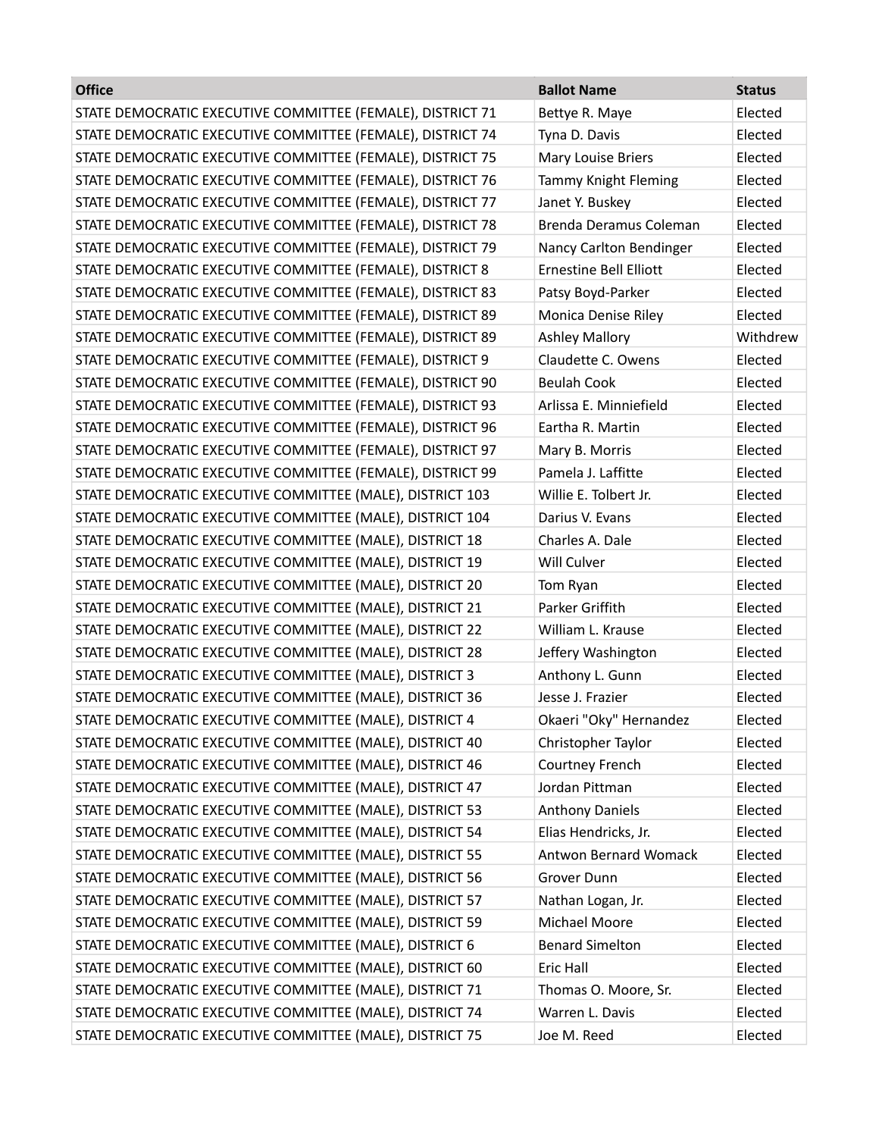| <b>Office</b>                                              | <b>Ballot Name</b>            | <b>Status</b> |
|------------------------------------------------------------|-------------------------------|---------------|
| STATE DEMOCRATIC EXECUTIVE COMMITTEE (FEMALE), DISTRICT 71 | Bettye R. Maye                | Elected       |
| STATE DEMOCRATIC EXECUTIVE COMMITTEE (FEMALE), DISTRICT 74 | Tyna D. Davis                 | Elected       |
| STATE DEMOCRATIC EXECUTIVE COMMITTEE (FEMALE), DISTRICT 75 | Mary Louise Briers            | Elected       |
| STATE DEMOCRATIC EXECUTIVE COMMITTEE (FEMALE), DISTRICT 76 | <b>Tammy Knight Fleming</b>   | Elected       |
| STATE DEMOCRATIC EXECUTIVE COMMITTEE (FEMALE), DISTRICT 77 | Janet Y. Buskey               | Elected       |
| STATE DEMOCRATIC EXECUTIVE COMMITTEE (FEMALE), DISTRICT 78 | Brenda Deramus Coleman        | Elected       |
| STATE DEMOCRATIC EXECUTIVE COMMITTEE (FEMALE), DISTRICT 79 | Nancy Carlton Bendinger       | Elected       |
| STATE DEMOCRATIC EXECUTIVE COMMITTEE (FEMALE), DISTRICT 8  | <b>Ernestine Bell Elliott</b> | Elected       |
| STATE DEMOCRATIC EXECUTIVE COMMITTEE (FEMALE), DISTRICT 83 | Patsy Boyd-Parker             | Elected       |
| STATE DEMOCRATIC EXECUTIVE COMMITTEE (FEMALE), DISTRICT 89 | Monica Denise Riley           | Elected       |
| STATE DEMOCRATIC EXECUTIVE COMMITTEE (FEMALE), DISTRICT 89 | <b>Ashley Mallory</b>         | Withdrew      |
| STATE DEMOCRATIC EXECUTIVE COMMITTEE (FEMALE), DISTRICT 9  | Claudette C. Owens            | Elected       |
| STATE DEMOCRATIC EXECUTIVE COMMITTEE (FEMALE), DISTRICT 90 | <b>Beulah Cook</b>            | Elected       |
| STATE DEMOCRATIC EXECUTIVE COMMITTEE (FEMALE), DISTRICT 93 | Arlissa E. Minniefield        | Elected       |
| STATE DEMOCRATIC EXECUTIVE COMMITTEE (FEMALE), DISTRICT 96 | Eartha R. Martin              | Elected       |
| STATE DEMOCRATIC EXECUTIVE COMMITTEE (FEMALE), DISTRICT 97 | Mary B. Morris                | Elected       |
| STATE DEMOCRATIC EXECUTIVE COMMITTEE (FEMALE), DISTRICT 99 | Pamela J. Laffitte            | Elected       |
| STATE DEMOCRATIC EXECUTIVE COMMITTEE (MALE), DISTRICT 103  | Willie E. Tolbert Jr.         | Elected       |
| STATE DEMOCRATIC EXECUTIVE COMMITTEE (MALE), DISTRICT 104  | Darius V. Evans               | Elected       |
| STATE DEMOCRATIC EXECUTIVE COMMITTEE (MALE), DISTRICT 18   | Charles A. Dale               | Elected       |
| STATE DEMOCRATIC EXECUTIVE COMMITTEE (MALE), DISTRICT 19   | Will Culver                   | Elected       |
| STATE DEMOCRATIC EXECUTIVE COMMITTEE (MALE), DISTRICT 20   | Tom Ryan                      | Elected       |
| STATE DEMOCRATIC EXECUTIVE COMMITTEE (MALE), DISTRICT 21   | Parker Griffith               | Elected       |
| STATE DEMOCRATIC EXECUTIVE COMMITTEE (MALE), DISTRICT 22   | William L. Krause             | Elected       |
| STATE DEMOCRATIC EXECUTIVE COMMITTEE (MALE), DISTRICT 28   | Jeffery Washington            | Elected       |
| STATE DEMOCRATIC EXECUTIVE COMMITTEE (MALE), DISTRICT 3    | Anthony L. Gunn               | Elected       |
| STATE DEMOCRATIC EXECUTIVE COMMITTEE (MALE), DISTRICT 36   | Jesse J. Frazier              | Elected       |
| STATE DEMOCRATIC EXECUTIVE COMMITTEE (MALE), DISTRICT 4    | Okaeri "Oky" Hernandez        | Elected       |
| STATE DEMOCRATIC EXECUTIVE COMMITTEE (MALE), DISTRICT 40   | Christopher Taylor            | Elected       |
| STATE DEMOCRATIC EXECUTIVE COMMITTEE (MALE), DISTRICT 46   | Courtney French               | Elected       |
| STATE DEMOCRATIC EXECUTIVE COMMITTEE (MALE), DISTRICT 47   | Jordan Pittman                | Elected       |
| STATE DEMOCRATIC EXECUTIVE COMMITTEE (MALE), DISTRICT 53   | <b>Anthony Daniels</b>        | Elected       |
| STATE DEMOCRATIC EXECUTIVE COMMITTEE (MALE), DISTRICT 54   | Elias Hendricks, Jr.          | Elected       |
| STATE DEMOCRATIC EXECUTIVE COMMITTEE (MALE), DISTRICT 55   | <b>Antwon Bernard Womack</b>  | Elected       |
| STATE DEMOCRATIC EXECUTIVE COMMITTEE (MALE), DISTRICT 56   | Grover Dunn                   | Elected       |
| STATE DEMOCRATIC EXECUTIVE COMMITTEE (MALE), DISTRICT 57   | Nathan Logan, Jr.             | Elected       |
| STATE DEMOCRATIC EXECUTIVE COMMITTEE (MALE), DISTRICT 59   | Michael Moore                 | Elected       |
| STATE DEMOCRATIC EXECUTIVE COMMITTEE (MALE), DISTRICT 6    | <b>Benard Simelton</b>        | Elected       |
| STATE DEMOCRATIC EXECUTIVE COMMITTEE (MALE), DISTRICT 60   | <b>Eric Hall</b>              | Elected       |
| STATE DEMOCRATIC EXECUTIVE COMMITTEE (MALE), DISTRICT 71   | Thomas O. Moore, Sr.          | Elected       |
| STATE DEMOCRATIC EXECUTIVE COMMITTEE (MALE), DISTRICT 74   | Warren L. Davis               | Elected       |
| STATE DEMOCRATIC EXECUTIVE COMMITTEE (MALE), DISTRICT 75   | Joe M. Reed                   | Elected       |